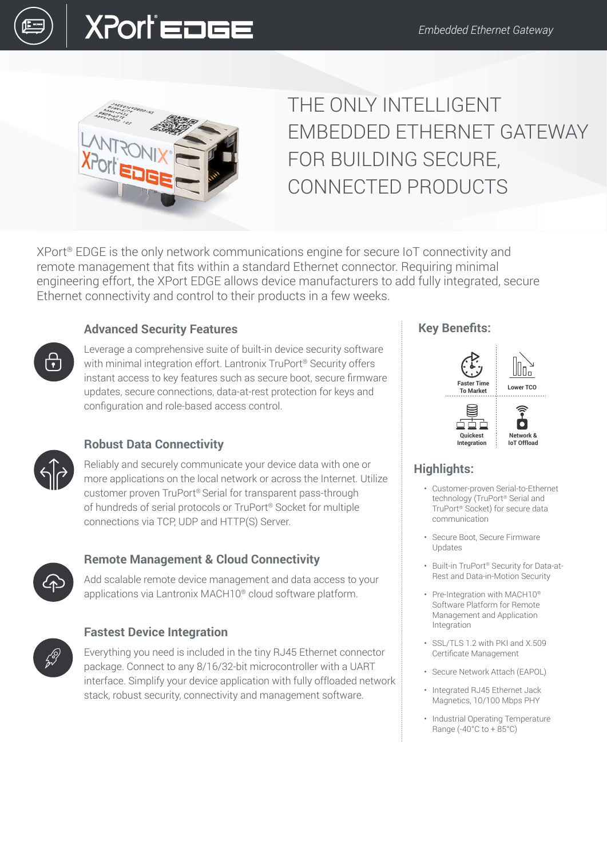



## THE ONLY INTELLIGENT EMBEDDED ETHERNET GATEWAY FOR BUILDING SECURE, CONNECTED PRODUCTS

XPort® EDGE is the only network communications engine for secure IoT connectivity and remote management that fits within a standard Ethernet connector. Requiring minimal engineering effort, the XPort EDGE allows device manufacturers to add fully integrated, secure Ethernet connectivity and control to their products in a few weeks.

## **Advanced Security Features**

Leverage a comprehensive suite of built-in device security software with minimal integration effort. Lantronix TruPort<sup>®</sup> Security offers instant access to key features such as secure boot, secure firmware updates, secure connections, data-at-rest protection for keys and configuration and role-based access control.



ကြ

## **Robust Data Connectivity**

Reliably and securely communicate your device data with one or more applications on the local network or across the Internet. Utilize customer proven TruPort® Serial for transparent pass-through of hundreds of serial protocols or TruPort® Socket for multiple connections via TCP, UDP and HTTP(S) Server.



## **Remote Management & Cloud Connectivity**

Add scalable remote device management and data access to your applications via Lantronix MACH10® cloud software platform.



## **Fastest Device Integration**

Everything you need is included in the tiny RJ45 Ethernet connector package. Connect to any 8/16/32-bit microcontroller with a UART interface. Simplify your device application with fully offloaded network stack, robust security, connectivity and management software.

## **Key Benefits:**



## **Highlights:**

- Customer-proven Serial-to-Ethernet technology (TruPort® Serial and TruPort® Socket) for secure data communication
- Secure Boot, Secure Firmware Updates
- Built-in TruPort® Security for Data-at-Rest and Data-in-Motion Security
- Pre-Integration with MACH10® Software Platform for Remote Management and Application Integration
- SSL/TLS 1.2 with PKI and X.509 Certificate Management
- Secure Network Attach (EAPOL)
- Integrated RJ45 Ethernet Jack Magnetics, 10/100 Mbps PHY
- Industrial Operating Temperature Range (-40°C to + 85°C)